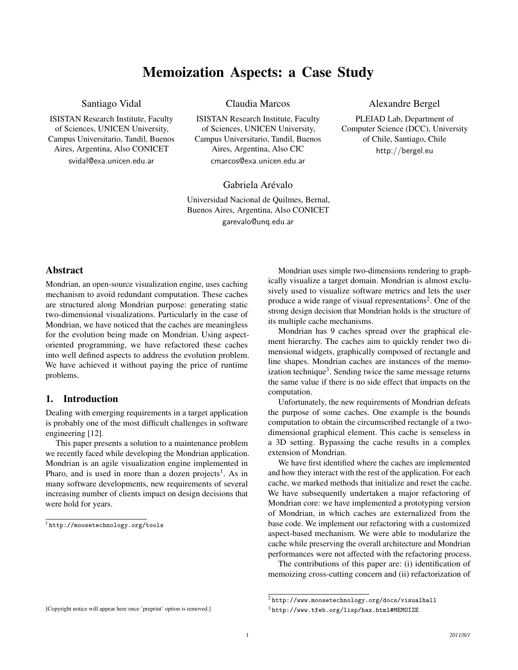# Memoization Aspects: a Case Study

# Santiago Vidal

ISISTAN Research Institute, Faculty of Sciences, UNICEN University, Campus Universitario, Tandil, Buenos Aires, Argentina, Also CONICET svidal@exa.unicen.edu.ar

Claudia Marcos

ISISTAN Research Institute, Faculty of Sciences, UNICEN University, Campus Universitario, Tandil, Buenos Aires, Argentina, Also CIC cmarcos@exa.unicen.edu.ar

# Alexandre Bergel

PLEIAD Lab, Department of Computer Science (DCC), University of Chile, Santiago, Chile http://bergel.eu

## Gabriela Arévalo

Universidad Nacional de Quilmes, Bernal, Buenos Aires, Argentina, Also CONICET garevalo@unq.edu.ar

#### Abstract

Mondrian, an open-source visualization engine, uses caching mechanism to avoid redundant computation. These caches are structured along Mondrian purpose: generating static two-dimensional visualizations. Particularly in the case of Mondrian, we have noticed that the caches are meaningless for the evolution being made on Mondrian. Using aspectoriented programming, we have refactored these caches into well defined aspects to address the evolution problem. We have achieved it without paying the price of runtime problems.

#### 1. Introduction

Dealing with emerging requirements in a target application is probably one of the most difficult challenges in software engineering [\[12\]](#page-8-0).

This paper presents a solution to a maintenance problem we recently faced while developing the Mondrian application. Mondrian is an agile visualization engine implemented in Pharo, and is used in more than a dozen projects<sup>[1](#page-0-0)</sup>. As in many software developments, new requirements of several increasing number of clients impact on design decisions that were hold for years.

Mondrian uses simple two-dimensions rendering to graphically visualize a target domain. Mondrian is almost exclusively used to visualize software metrics and lets the user produce a wide range of visual representations<sup>[2](#page-0-1)</sup>. One of the strong design decision that Mondrian holds is the structure of its multiple cache mechanisms.

Mondrian has 9 caches spread over the graphical element hierarchy. The caches aim to quickly render two dimensional widgets, graphically composed of rectangle and line shapes. Mondrian caches are instances of the memo-ization technique<sup>[3](#page-0-2)</sup>. Sending twice the same message returns the same value if there is no side effect that impacts on the computation.

Unfortunately, the new requirements of Mondrian defeats the purpose of some caches. One example is the bounds computation to obtain the circumscribed rectangle of a twodimensional graphical element. This cache is senseless in a 3D setting. Bypassing the cache results in a complex extension of Mondrian.

We have first identified where the caches are implemented and how they interact with the rest of the application. For each cache, we marked methods that initialize and reset the cache. We have subsequently undertaken a major refactoring of Mondrian core: we have implemented a prototyping version of Mondrian, in which caches are externalized from the base code. We implement our refactoring with a customized aspect-based mechanism. We were able to modularize the cache while preserving the overall architecture and Mondrian performances were not affected with the refactoring process.

The contributions of this paper are: (i) identification of memoizing cross-cutting concern and (ii) refactorization of

<span id="page-0-0"></span><sup>1</sup> <http://moosetechnology.org/tools>

<span id="page-0-1"></span><sup>2</sup> <http://www.moosetechnology.org/docs/visualhall>

<span id="page-0-2"></span><sup>3</sup> <http://www.tfeb.org/lisp/hax.html#MEMOIZE>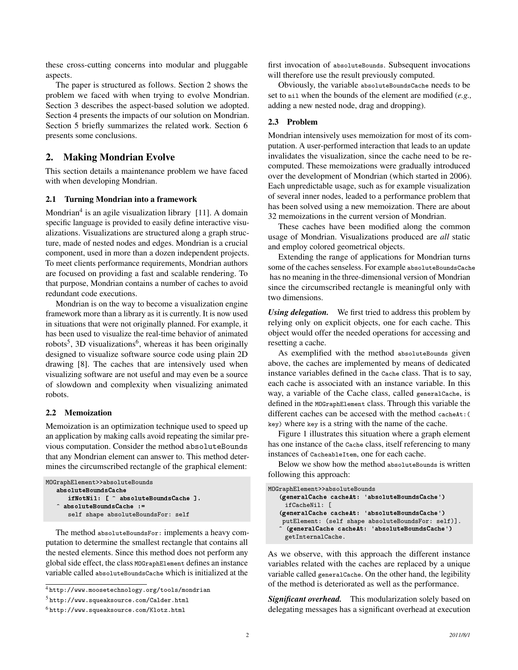these cross-cutting concerns into modular and pluggable aspects.

The paper is structured as follows. Section [2](#page-1-0) shows the problem we faced with when trying to evolve Mondrian. Section [3](#page-2-0) describes the aspect-based solution we adopted. Section [4](#page-6-0) presents the impacts of our solution on Mondrian. Section [5](#page-7-0) briefly summarizes the related work. Section [6](#page-8-1) presents some conclusions.

# <span id="page-1-0"></span>2. Making Mondrian Evolve

This section details a maintenance problem we have faced with when developing Mondrian.

#### 2.1 Turning Mondrian into a framework

Mondrian<sup>[4](#page-1-1)</sup> is an agile visualization library [\[11\]](#page-8-2). A domain specific language is provided to easily define interactive visualizations. Visualizations are structured along a graph structure, made of nested nodes and edges. Mondrian is a crucial component, used in more than a dozen independent projects. To meet clients performance requirements, Mondrian authors are focused on providing a fast and scalable rendering. To that purpose, Mondrian contains a number of caches to avoid redundant code executions.

Mondrian is on the way to become a visualization engine framework more than a library as it is currently. It is now used in situations that were not originally planned. For example, it has been used to visualize the real-time behavior of animated robots<sup>[5](#page-1-2)</sup>, 3D visualizations<sup>[6](#page-1-3)</sup>, whereas it has been originally designed to visualize software source code using plain 2D drawing [\[8\]](#page-8-3). The caches that are intensively used when visualizing software are not useful and may even be a source of slowdown and complexity when visualizing animated robots.

## 2.2 Memoization

Memoization is an optimization technique used to speed up an application by making calls avoid repeating the similar previous computation. Consider the method absoluteBounds that any Mondrian element can answer to. This method determines the circumscribed rectangle of the graphical element:

```
MOGraphElement>>absoluteBounds
   absoluteBoundsCache
      ifNotNil: [ ^ absoluteBoundsCache ].
    absoluteBoundsCache :=
      self shape absoluteBoundsFor: self
```
The method absoluteBoundsFor: implements a heavy computation to determine the smallest rectangle that contains all the nested elements. Since this method does not perform any global side effect, the class MOGraphElement defines an instance variable called absoluteBoundsCache which is initialized at the

first invocation of absoluteBounds. Subsequent invocations will therefore use the result previously computed.

Obviously, the variable absoluteBoundsCache needs to be set to nil when the bounds of the element are modified (*e.g.,* adding a new nested node, drag and dropping).

#### 2.3 Problem

Mondrian intensively uses memoization for most of its computation. A user-performed interaction that leads to an update invalidates the visualization, since the cache need to be recomputed. These memoizations were gradually introduced over the development of Mondrian (which started in 2006). Each unpredictable usage, such as for example visualization of several inner nodes, leaded to a performance problem that has been solved using a new memoization. There are about 32 memoizations in the current version of Mondrian.

These caches have been modified along the common usage of Mondrian. Visualizations produced are *all* static and employ colored geometrical objects.

Extending the range of applications for Mondrian turns some of the caches senseless. For example absoluteBoundsCache has no meaning in the three-dimensional version of Mondrian since the circumscribed rectangle is meaningful only with two dimensions.

*Using delegation.* We first tried to address this problem by relying only on explicit objects, one for each cache. This object would offer the needed operations for accessing and resetting a cache.

As exemplified with the method absoluteBounds given above, the caches are implemented by means of dedicated instance variables defined in the Cache class. That is to say, each cache is associated with an instance variable. In this way, a variable of the Cache class, called generalCache, is defined in the MOGraphElement class. Through this variable the different caches can be accesed with the method cacheAt:( key) where key is a string with the name of the cache.

Figure [1](#page-3-0) illustrates this situation where a graph element has one instance of the Cache class, itself referencing to many instances of CacheableItem, one for each cache.

Below we show how the method absoluteBounds is written following this approach:

```
MOGraphElement>>absoluteBounds
   (generalCache cacheAt: 'absoluteBoundsCache')
     ifCacheNil: [
   (generalCache cacheAt: 'absoluteBoundsCache')
   putElement: (self shape absoluteBoundsFor: self)].
     ^ (generalCache cacheAt: 'absoluteBoundsCache')
     getInternalCache.
```
As we observe, with this approach the different instance variables related with the caches are replaced by a unique variable called generalCache. On the other hand, the legibility of the method is deteriorated as well as the performance.

*Significant overhead.* This modularization solely based on delegating messages has a significant overhead at execution

<span id="page-1-1"></span><sup>4</sup> <http://www.moosetechnology.org/tools/mondrian>

<span id="page-1-2"></span><sup>5</sup> <http://www.squeaksource.com/Calder.html>

<span id="page-1-3"></span><sup>6</sup> <http://www.squeaksource.com/Klotz.html>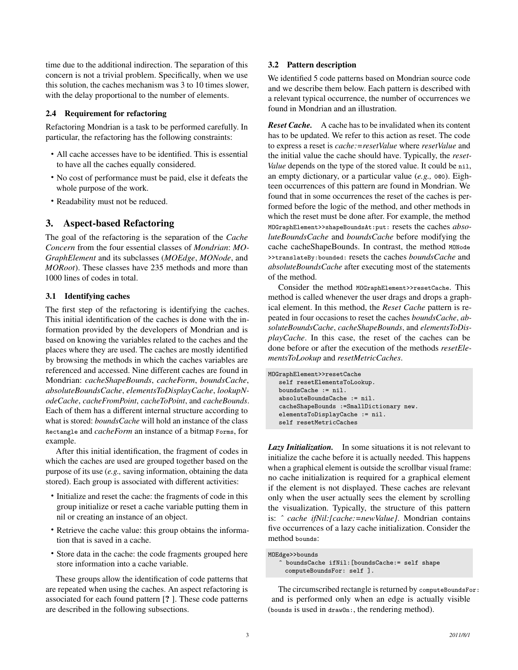time due to the additional indirection. The separation of this concern is not a trivial problem. Specifically, when we use this solution, the caches mechanism was 3 to 10 times slower, with the delay proportional to the number of elements.

#### 2.4 Requirement for refactoring

Refactoring Mondrian is a task to be performed carefully. In particular, the refactoring has the following constraints:

- All cache accesses have to be identified. This is essential to have all the caches equally considered.
- No cost of performance must be paid, else it defeats the whole purpose of the work.
- Readability must not be reduced.

### <span id="page-2-0"></span>3. Aspect-based Refactoring

The goal of the refactoring is the separation of the *Cache Concern* from the four essential classes of *Mondrian*: *MO-GraphElement* and its subclasses (*MOEdge*, *MONode*, and *MORoot*). These classes have 235 methods and more than 1000 lines of codes in total.

#### 3.1 Identifying caches

The first step of the refactoring is identifying the caches. This initial identification of the caches is done with the information provided by the developers of Mondrian and is based on knowing the variables related to the caches and the places where they are used. The caches are mostly identified by browsing the methods in which the caches variables are referenced and accessed. Nine different caches are found in Mondrian: *cacheShapeBounds*, *cacheForm*, *boundsCache*, *absoluteBoundsCache*, *elementsToDisplayCache*, *lookupNodeCache*, *cacheFromPoint*, *cacheToPoint*, and *cacheBounds*. Each of them has a different internal structure according to what is stored: *boundsCache* will hold an instance of the class Rectangle and *cacheForm* an instance of a bitmap Forms, for example.

After this initial identification, the fragment of codes in which the caches are used are grouped together based on the purpose of its use (*e.g.,* saving information, obtaining the data stored). Each group is associated with different activities:

- Initialize and reset the cache: the fragments of code in this group initialize or reset a cache variable putting them in nil or creating an instance of an object.
- Retrieve the cache value: this group obtains the information that is saved in a cache.
- Store data in the cache: the code fragments grouped here store information into a cache variable.

These groups allow the identification of code patterns that are repeated when using the caches. An aspect refactoring is associated for each found pattern [? ]. These code patterns are described in the following subsections.

#### <span id="page-2-1"></span>3.2 Pattern description

We identified 5 code patterns based on Mondrian source code and we describe them below. Each pattern is described with a relevant typical occurrence, the number of occurrences we found in Mondrian and an illustration.

*Reset Cache.* A cache has to be invalidated when its content has to be updated. We refer to this action as reset. The code to express a reset is *cache:=resetValue* where *resetValue* and the initial value the cache should have. Typically, the *reset-Value* depends on the type of the stored value. It could be nil, an empty dictionary, or a particular value (*e.g.,* 0@0). Eighteen occurrences of this pattern are found in Mondrian. We found that in some occurrences the reset of the caches is performed before the logic of the method, and other methods in which the reset must be done after. For example, the method MOGraphElement>>shapeBoundsAt:put: resets the caches *absoluteBoundsCache* and *boundsCache* before modifying the cache cacheShapeBounds. In contrast, the method MONode >>translateBy:bounded: resets the caches *boundsCache* and *absoluteBoundsCache* after executing most of the statements of the method.

Consider the method MOGraphElement>>resetCache. This method is called whenever the user drags and drops a graphical element. In this method, the *Reset Cache* pattern is repeated in four occasions to reset the caches *boundsCache*, *absoluteBoundsCache*, *cacheShapeBounds*, and *elementsToDisplayCache*. In this case, the reset of the caches can be done before or after the execution of the methods *resetElementsToLookup* and *resetMetricCaches*.

MOGraphElement>>resetCache self resetElementsToLookup. boundsCache := nil. absoluteBoundsCache := nil. cacheShapeBounds :=SmallDictionary new. elementsToDisplayCache := nil. self resetMetricCaches

*Lazy Initialization.* In some situations it is not relevant to initialize the cache before it is actually needed. This happens when a graphical element is outside the scrollbar visual frame: no cache initialization is required for a graphical element if the element is not displayed. These caches are relevant only when the user actually sees the element by scrolling the visualization. Typically, the structure of this pattern is: *ˆ cache ifNil:[cache:=newValue]*. Mondrian contains five occurrences of a lazy cache initialization. Consider the method bounds:

MOEdge>>bounds ^ boundsCache ifNil:[boundsCache:= self shape computeBoundsFor: self ].

The circumscribed rectangle is returned by computeBoundsFor: and is performed only when an edge is actually visible (bounds is used in drawOn:, the rendering method).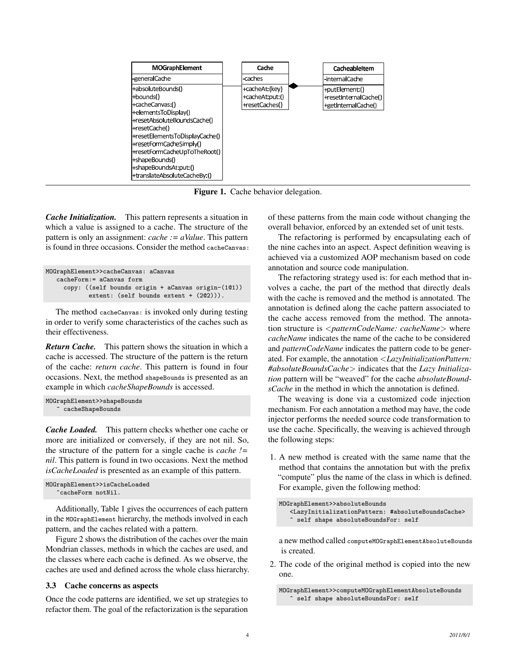<span id="page-3-0"></span>

Figure 1. Cache behavior delegation.

*Cache Initialization.* This pattern represents a situation in which a value is assigned to a cache. The structure of the pattern is only an assignment: *cache := aValue*. This pattern is found in three occasions. Consider the method cacheCanvas:

```
MOGraphElement>>cacheCanvas: aCanvas
   cacheForm:= aCanvas form
     copy: ((self bounds origin + aCanvas origin-(1@1))
            extent: (self bounds extent + (2@2))).
```
The method cacheCanvas: is invoked only during testing in order to verify some characteristics of the caches such as their effectiveness.

*Return Cache.* This pattern shows the situation in which a cache is accessed. The structure of the pattern is the return of the cache: *return cache*. This pattern is found in four occasions. Next, the method shapeBounds is presented as an example in which *cacheShapeBounds* is accessed.

```
MOGraphElement>>shapeBounds
    ^ cacheShapeBounds
```
*Cache Loaded.* This pattern checks whether one cache or more are initialized or conversely, if they are not nil. So, the structure of the pattern for a single cache is *cache != nil*. This pattern is found in two occasions. Next the method *isCacheLoaded* is presented as an example of this pattern.

```
MOGraphElement>>isCacheLoaded
   ^cacheForm notNil.
```
Additionally, Table [1](#page-4-0) gives the occurrences of each pattern in the MOGraphElement hierarchy, the methods involved in each pattern, and the caches related with a pattern.

Figure [2](#page-4-1) shows the distribution of the caches over the main Mondrian classes, methods in which the caches are used, and the classes where each cache is defined. As we observe, the caches are used and defined across the whole class hierarchy.

#### 3.3 Cache concerns as aspects

Once the code patterns are identified, we set up strategies to refactor them. The goal of the refactorization is the separation of these patterns from the main code without changing the overall behavior, enforced by an extended set of unit tests.

The refactoring is performed by encapsulating each of the nine caches into an aspect. Aspect definition weaving is achieved via a customized AOP mechanism based on code annotation and source code manipulation.

The refactoring strategy used is: for each method that involves a cache, the part of the method that directly deals with the cache is removed and the method is annotated. The annotation is defined along the cache pattern associated to the cache access removed from the method. The annotation structure is <*patternCodeName: cacheName*> where *cacheName* indicates the name of the cache to be considered and *patternCodeName* indicates the pattern code to be generated. For example, the annotation <*LazyInitializationPattern: #absoluteBoundsCache*> indicates that the *Lazy Initialization* pattern will be "weaved" for the cache *absoluteBoundsCache* in the method in which the annotation is defined.

The weaving is done via a customized code injection mechanism. For each annotation a method may have, the code injector performs the needed source code transformation to use the cache. Specifically, the weaving is achieved through the following steps:

1. A new method is created with the same name that the method that contains the annotation but with the prefix "compute" plus the name of the class in which is defined. For example, given the following method:

```
MOGraphElement>>absoluteBounds
   <LazyInitializationPattern: #absoluteBoundsCache>
     self shape absoluteBoundsFor: self
```
a new method called computeMOGraphElementAbsoluteBounds is created.

2. The code of the original method is copied into the new one.

```
MOGraphElement>>computeMOGraphElementAbsoluteBounds
     self shape absoluteBoundsFor: self
```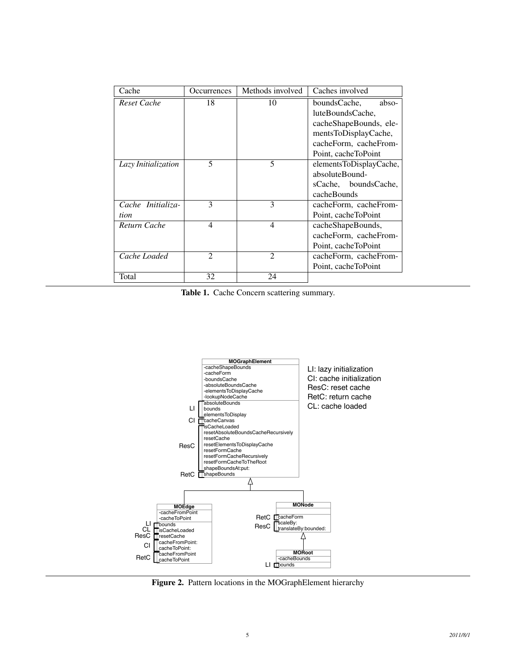<span id="page-4-0"></span>

| Cache               | Occurrences    | Methods involved | Caches involved         |
|---------------------|----------------|------------------|-------------------------|
| Reset Cache         | 18             | 10               | boundsCache,<br>abso-   |
|                     |                |                  | luteBoundsCache,        |
|                     |                |                  | cacheShapeBounds, ele-  |
|                     |                |                  | mentsToDisplayCache,    |
|                     |                |                  | cacheForm, cacheFrom-   |
|                     |                |                  | Point, cacheToPoint     |
| Lazy Initialization | 5              | 5                | elementsToDisplayCache, |
|                     |                |                  | absoluteBound-          |
|                     |                |                  | sCache, boundsCache,    |
|                     |                |                  | cacheBounds             |
| Cache Initializa-   | 3              | 3                | cacheForm, cacheFrom-   |
| tion                |                |                  | Point, cacheToPoint     |
| Return Cache        | 4              | 4                | cacheShapeBounds,       |
|                     |                |                  | cacheForm, cacheFrom-   |
|                     |                |                  | Point, cacheToPoint     |
| Cache Loaded        | $\mathfrak{D}$ | $\mathfrak{D}$   | cacheForm, cacheFrom-   |
|                     |                |                  | Point, cacheToPoint     |
| Total               | 32             | 24               |                         |

Table 1. Cache Concern scattering summary.

<span id="page-4-1"></span>

Figure 2. Pattern locations in the MOGraphElement hierarchy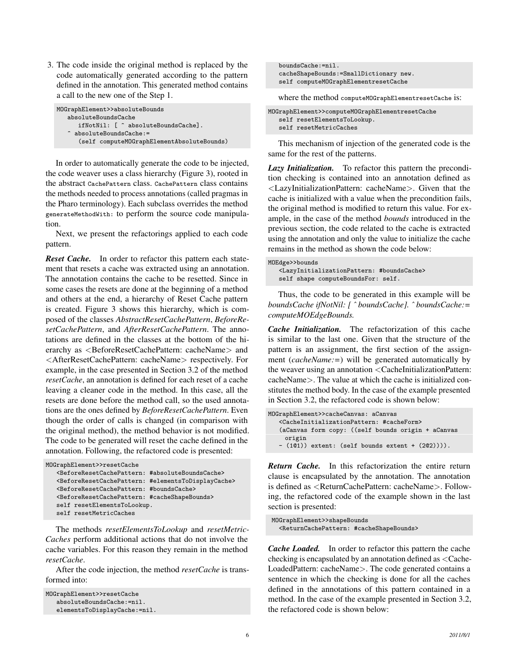3. The code inside the original method is replaced by the code automatically generated according to the pattern defined in the annotation. This generated method contains a call to the new one of the Step 1.

| MOGraphElement>>absoluteBounds             |  |  |
|--------------------------------------------|--|--|
| absoluteBoundsCache                        |  |  |
| ifNotNil: [ ^ absoluteBoundsCache].        |  |  |
| - absoluteBoundsCache:                     |  |  |
| (self computeMOGraphElementAbsoluteBounds) |  |  |
|                                            |  |  |

In order to automatically generate the code to be injected, the code weaver uses a class hierarchy (Figure [3\)](#page-6-1), rooted in the abstract CachePattern class. CachePattern class contains the methods needed to process annotations (called pragmas in the Pharo terminology). Each subclass overrides the method generateMethodWith: to perform the source code manipulation.

Next, we present the refactorings applied to each code pattern.

*Reset Cache.* In order to refactor this pattern each statement that resets a cache was extracted using an annotation. The annotation contains the cache to be resetted. Since in some cases the resets are done at the beginning of a method and others at the end, a hierarchy of Reset Cache pattern is created. Figure [3](#page-6-1) shows this hierarchy, which is composed of the classes *AbstractResetCachePattern*, *BeforeResetCachePattern*, and *AfterResetCachePattern*. The annotations are defined in the classes at the bottom of the hierarchy as <BeforeResetCachePattern: cacheName> and <AfterResetCachePattern: cacheName> respectively. For example, in the case presented in Section [3.2](#page-2-1) of the method *resetCache*, an annotation is defined for each reset of a cache leaving a cleaner code in the method. In this case, all the resets are done before the method call, so the used annotations are the ones defined by *BeforeResetCachePattern*. Even though the order of calls is changed (in comparison with the original method), the method behavior is not modified. The code to be generated will reset the cache defined in the annotation. Following, the refactored code is presented:

| MOGraphElement>>resetCache                                                 |                                                                                  |  |
|----------------------------------------------------------------------------|----------------------------------------------------------------------------------|--|
|                                                                            | <beforeresetcachepattern: #absoluteboundscache=""></beforeresetcachepattern:>    |  |
|                                                                            | <beforeresetcachepattern: #elementstodisplaycache=""></beforeresetcachepattern:> |  |
| <beforeresetcachepattern: #boundscache=""></beforeresetcachepattern:>      |                                                                                  |  |
| <beforeresetcachepattern: #cacheshapebounds=""></beforeresetcachepattern:> |                                                                                  |  |
| self resetElementsToLookup.                                                |                                                                                  |  |
| self resetMetricCaches                                                     |                                                                                  |  |

The methods *resetElementsToLookup* and *resetMetric-Caches* perform additional actions that do not involve the cache variables. For this reason they remain in the method *resetCache*.

After the code injection, the method *resetCache* is transformed into:

```
MOGraphElement>>resetCache
   absoluteBoundsCache:=nil.
   elementsToDisplayCache:=nil.
```

```
boundsCache:=nil.
cacheShapeBounds:=SmallDictionary new.
self computeMOGraphElementresetCache
```
where the method computeMOGraphElementresetCache is:

```
MOGraphElement>>computeMOGraphElementresetCache
  self resetElementsToLookup.
   self resetMetricCaches
```
This mechanism of injection of the generated code is the same for the rest of the patterns.

*Lazy Initialization.* To refactor this pattern the precondition checking is contained into an annotation defined as <LazyInitializationPattern: cacheName>. Given that the cache is initialized with a value when the precondition fails, the original method is modified to return this value. For example, in the case of the method *bounds* introduced in the previous section, the code related to the cache is extracted using the annotation and only the value to initialize the cache remains in the method as shown the code below:

MOEdge>>bounds

<LazyInitializationPattern: #boundsCache> self shape computeBoundsFor: self.

Thus, the code to be generated in this example will be *boundsCache ifNotNil: [ ˆ boundsCache]. ˆ boundsCache:= computeMOEdgeBounds.*

*Cache Initialization.* The refactorization of this cache is similar to the last one. Given that the structure of the pattern is an assignment, the first section of the assignment (*cacheName:=*) will be generated automatically by the weaver using an annotation <CacheInitializationPattern: cacheName>. The value at which the cache is initialized constitutes the method body. In the case of the example presented in Section [3.2,](#page-2-1) the refactored code is shown below:

```
MOGraphElement>>cacheCanvas: aCanvas
   <CacheInitializationPattern: #cacheForm>
   (aCanvas form copy: ((self bounds origin + aCanvas
     origin
   - (1@1)) extent: (self bounds extent + (2@2)))).
```
*Return Cache.* In this refactorization the entire return clause is encapsulated by the annotation. The annotation is defined as <ReturnCachePattern: cacheName>. Following, the refactored code of the example shown in the last section is presented:

```
MOGraphElement>>shapeBounds
  <ReturnCachePattern: #cacheShapeBounds>
```
*Cache Loaded.* In order to refactor this pattern the cache checking is encapsulated by an annotation defined as <Cache-LoadedPattern: cacheName>. The code generated contains a sentence in which the checking is done for all the caches defined in the annotations of this pattern contained in a method. In the case of the example presented in Section [3.2,](#page-2-1) the refactored code is shown below: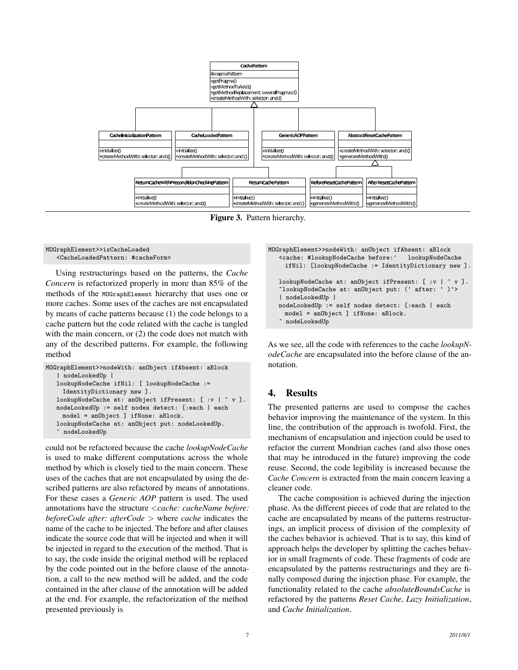<span id="page-6-1"></span>

Figure 3. Pattern hierarchy.

```
MOGraphElement>>isCacheLoaded
   <CacheLoadedPattern: #cacheForm>
```
Using restructurings based on the patterns, the *Cache Concern* is refactorized properly in more than 85% of the methods of the MOGraphElement hierarchy that uses one or more caches. Some uses of the caches are not encapsulated by means of cache patterns because (1) the code belongs to a cache pattern but the code related with the cache is tangled with the main concern, or (2) the code does not match with any of the described patterns. For example, the following method

```
MOGraphElement>>nodeWith: anObject ifAbsent: aBlock
   | nodeLookedUp |
   lookupNodeCache ifNil: [ lookupNodeCache :=
    IdentityDictionary new ].
   lookupNodeCache at: anObject ifPresent: [ :v | ^ v ].
  nodeLookedUp := self nodes detect: [:each | each
    model = anObject ] ifNone: aBlock.
   lookupNodeCache at: anObject put: nodeLookedUp.
    ^ nodeLookedUp
```
could not be refactored because the cache *lookupNodeCache* is used to make different computations across the whole method by which is closely tied to the main concern. These uses of the caches that are not encapsulated by using the described patterns are also refactored by means of annotations. For these cases a *Generic AOP* pattern is used. The used annotations have the structure <*cache: cacheName before: beforeCode after: afterCode* > where *cache* indicates the name of the cache to be injected. The before and after clauses indicate the source code that will be injected and when it will be injected in regard to the execution of the method. That is to say, the code inside the original method will be replaced by the code pointed out in the before clause of the annotation, a call to the new method will be added, and the code contained in the after clause of the annotation will be added at the end. For example, the refactorization of the method presented previously is

```
MOGraphElement>>nodeWith: anObject ifAbsent: aBlock
   <cache: #lookupNodeCache before:' lookupNodeCache
     ifNil: [lookupNodeCache := IdentityDictionary new ].
   lookupNodeCache at: anObject ifPresent: [ :v | ^ v ].
   ^lookupNodeCache at: anObject put: (' after: ' )'>
   | nodeLookedUp |
   nodeLookedUp := self nodes detect: [:each | each
    model = anObject ] ifNone: aBlock.
    ^ nodeLookedUp
```
As we see, all the code with references to the cache *lookupNodeCache* are encapsulated into the before clause of the annotation.

# <span id="page-6-0"></span>4. Results

The presented patterns are used to compose the caches behavior improving the maintenance of the system. In this line, the contribution of the approach is twofold. First, the mechanism of encapsulation and injection could be used to refactor the current Mondrian caches (and also those ones that may be introduced in the future) improving the code reuse. Second, the code legibility is increased because the *Cache Concern* is extracted from the main concern leaving a cleaner code.

The cache composition is achieved during the injection phase. As the different pieces of code that are related to the cache are encapsulated by means of the patterns restructurings, an implicit process of division of the complexity of the caches behavior is achieved. That is to say, this kind of approach helps the developer by splitting the caches behavior in small fragments of code. These fragments of code are encapsulated by the patterns restructurings and they are finally composed during the injection phase. For example, the functionality related to the cache *absoluteBoundsCache* is refactored by the patterns *Reset Cache, Lazy Initialization*, and *Cache Initialization*.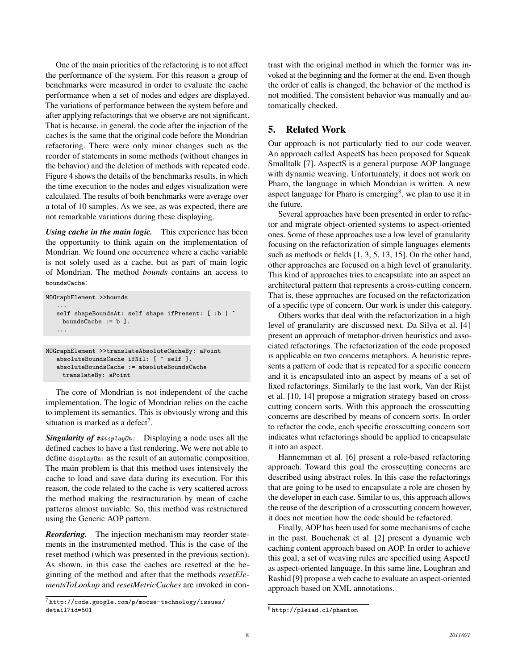One of the main priorities of the refactoring is to not affect the performance of the system. For this reason a group of benchmarks were measured in order to evaluate the cache performance when a set of nodes and edges are displayed. The variations of performance between the system before and after applying refactorings that we observe are not significant. That is because, in general, the code after the injection of the caches is the same that the original code before the Mondrian refactoring. There were only minor changes such as the reorder of statements in some methods (without changes in the behavior) and the deletion of methods with repeated code. Figure [4](#page-8-4) shows the details of the benchmarks results, in which the time execution to the nodes and edges visualization were calculated. The results of both benchmarks were average over a total of 10 samples. As we see, as was expected, there are not remarkable variations during these displaying.

*Using cache in the main logic.* This experience has been the opportunity to think again on the implementation of Mondrian. We found one occurrence where a cache variable is not solely used as a cache, but as part of main logic of Mondrian. The method *bounds* contains an access to boundsCache:

```
MOGraphElement >>bounds
   ...
   self shapeBoundsAt: self shape ifPresent: [ :b | ^
    boundsCache := b ].
   ...
MOGraphElement >>translateAbsoluteCacheBy: aPoint
```

```
absoluteBoundsCache ifNil: [ ^ self ].
absoluteBoundsCache := absoluteBoundsCache
 translateBy: aPoint
```
The core of Mondrian is not independent of the cache implementation. The logic of Mondrian relies on the cache to implement its semantics. This is obviously wrong and this situation is marked as a defect<sup>[7](#page-7-1)</sup>.

*Singularity of* #displayOn: Displaying a node uses all the defined caches to have a fast rendering. We were not able to define displayOn: as the result of an automatic composition. The main problem is that this method uses intensively the cache to load and save data during its execution. For this reason, the code related to the cache is very scattered across the method making the restructuration by mean of cache patterns almost unviable. So, this method was restructured using the Generic AOP pattern.

*Reordering.* The injection mechanism may reorder statements in the instrumented method. This is the case of the reset method (which was presented in the previous section). As shown, in this case the caches are resetted at the beginning of the method and after that the methods *resetElementsToLookup* and *resetMetricCaches* are invoked in contrast with the original method in which the former was invoked at the beginning and the former at the end. Even though the order of calls is changed, the behavior of the method is not modified. The consistent behavior was manually and automatically checked.

# <span id="page-7-0"></span>5. Related Work

Our approach is not particularly tied to our code weaver. An approach called AspectS has been proposed for Squeak Smalltalk [\[7\]](#page-8-5). AspectS is a general purpose AOP language with dynamic weaving. Unfortunately, it does not work on Pharo, the language in which Mondrian is written. A new aspect language for Pharo is emerging<sup>[8](#page-7-2)</sup>, we plan to use it in the future.

Several approaches have been presented in order to refactor and migrate object-oriented systems to aspect-oriented ones. Some of these approaches use a low level of granularity focusing on the refactorization of simple languages elements such as methods or fields [\[1,](#page-8-6) [3,](#page-8-7) [5,](#page-8-8) [13,](#page-9-0) [15\]](#page-9-1). On the other hand, other approaches are focused on a high level of granularity. This kind of approaches tries to encapsulate into an aspect an architectural pattern that represents a cross-cutting concern. That is, these approaches are focused on the refactorization of a specific type of concern. Our work is under this category.

Others works that deal with the refactorization in a high level of granularity are discussed next. Da Silva et al. [\[4\]](#page-8-9) present an approach of metaphor-driven heuristics and associated refactorings. The refactorization of the code proposed is applicable on two concerns metaphors. A heuristic represents a pattern of code that is repeated for a specific concern and it is encapsulated into an aspect by means of a set of fixed refactorings. Similarly to the last work, Van der Rijst et al. [\[10,](#page-8-10) [14\]](#page-9-2) propose a migration strategy based on crosscutting concern sorts. With this approach the crosscutting concerns are described by means of concern sorts. In order to refactor the code, each specific crosscutting concern sort indicates what refactorings should be applied to encapsulate it into an aspect.

Hannemman et al. [\[6\]](#page-8-11) present a role-based refactoring approach. Toward this goal the crosscutting concerns are described using abstract roles. In this case the refactorings that are going to be used to encapsulate a role are chosen by the developer in each case. Similar to us, this approach allows the reuse of the description of a crosscutting concern however, it does not mention how the code should be refactored.

Finally, AOP has been used for some mechanisms of cache in the past. Bouchenak et al. [\[2\]](#page-8-12) present a dynamic web caching content approach based on AOP. In order to achieve this goal, a set of weaving rules are specified using AspectJ as aspect-oriented language. In this same line, Loughran and Rashid [\[9\]](#page-8-13) propose a web cache to evaluate an aspect-oriented approach based on XML annotations.

<span id="page-7-1"></span><sup>7</sup> [http://code.google.com/p/moose-technology/issues/](http://code.google.com/p/moose-technology/issues/detail?id=501) [detail?id=501](http://code.google.com/p/moose-technology/issues/detail?id=501)

<span id="page-7-2"></span><sup>8</sup> <http://pleiad.cl/phantom>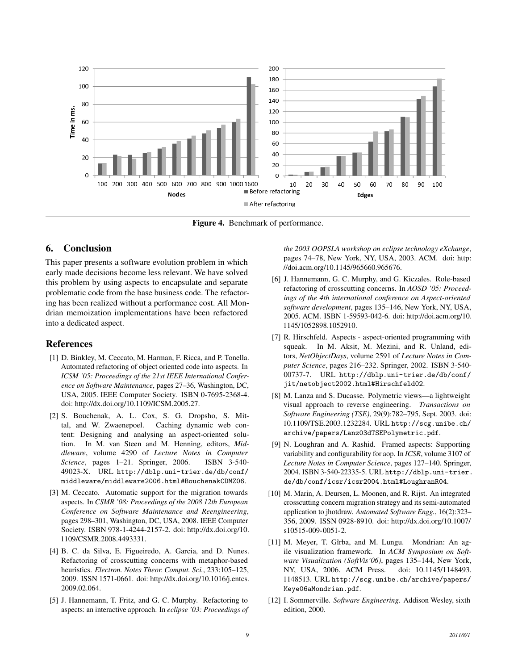<span id="page-8-4"></span>

Figure 4. Benchmark of performance.

# <span id="page-8-1"></span>6. Conclusion

This paper presents a software evolution problem in which early made decisions become less relevant. We have solved this problem by using aspects to encapsulate and separate problematic code from the base business code. The refactoring has been realized without a performance cost. All Mondrian memoization implementations have been refactored into a dedicated aspect.

### References

- <span id="page-8-6"></span>[1] D. Binkley, M. Ceccato, M. Harman, F. Ricca, and P. Tonella. Automated refactoring of object oriented code into aspects. In *ICSM '05: Proceedings of the 21st IEEE International Conference on Software Maintenance*, pages 27–36, Washington, DC, USA, 2005. IEEE Computer Society. ISBN 0-7695-2368-4. doi: http://dx.doi.org/10.1109/ICSM.2005.27.
- <span id="page-8-12"></span>[2] S. Bouchenak, A. L. Cox, S. G. Dropsho, S. Mittal, and W. Zwaenepoel. Caching dynamic web content: Designing and analysing an aspect-oriented solution. In M. van Steen and M. Henning, editors, *Middleware*, volume 4290 of *Lecture Notes in Computer Science*, pages 1–21. Springer, 2006. ISBN 3-540- 49023-X. URL [http://dblp.uni-trier.de/db/conf/](http://dblp.uni-trier.de/db/conf/middleware/middleware2006.html#BouchenakCDMZ06) [middleware/middleware2006.html#BouchenakCDMZ06](http://dblp.uni-trier.de/db/conf/middleware/middleware2006.html#BouchenakCDMZ06).
- <span id="page-8-7"></span>[3] M. Ceccato. Automatic support for the migration towards aspects. In *CSMR '08: Proceedings of the 2008 12th European Conference on Software Maintenance and Reengineering*, pages 298–301, Washington, DC, USA, 2008. IEEE Computer Society. ISBN 978-1-4244-2157-2. doi: http://dx.doi.org/10. 1109/CSMR.2008.4493331.
- <span id="page-8-9"></span>[4] B. C. da Silva, E. Figueiredo, A. Garcia, and D. Nunes. Refactoring of crosscutting concerns with metaphor-based heuristics. *Electron. Notes Theor. Comput. Sci.*, 233:105–125, 2009. ISSN 1571-0661. doi: http://dx.doi.org/10.1016/j.entcs. 2009.02.064.
- <span id="page-8-8"></span>[5] J. Hannemann, T. Fritz, and G. C. Murphy. Refactoring to aspects: an interactive approach. In *eclipse '03: Proceedings of*

*the 2003 OOPSLA workshop on eclipse technology eXchange*, pages 74–78, New York, NY, USA, 2003. ACM. doi: http: //doi.acm.org/10.1145/965660.965676.

- <span id="page-8-11"></span>[6] J. Hannemann, G. C. Murphy, and G. Kiczales. Role-based refactoring of crosscutting concerns. In *AOSD '05: Proceedings of the 4th international conference on Aspect-oriented software development*, pages 135–146, New York, NY, USA, 2005. ACM. ISBN 1-59593-042-6. doi: http://doi.acm.org/10. 1145/1052898.1052910.
- <span id="page-8-5"></span>[7] R. Hirschfeld. Aspects - aspect-oriented programming with squeak. In M. Aksit, M. Mezini, and R. Unland, editors, *NetObjectDays*, volume 2591 of *Lecture Notes in Computer Science*, pages 216–232. Springer, 2002. ISBN 3-540- 00737-7. URL [http://dblp.uni-trier.de/db/conf/](http://dblp.uni-trier.de/db/conf/jit/netobject2002.html#Hirschfeld02) [jit/netobject2002.html#Hirschfeld02](http://dblp.uni-trier.de/db/conf/jit/netobject2002.html#Hirschfeld02).
- <span id="page-8-3"></span>[8] M. Lanza and S. Ducasse. Polymetric views—a lightweight visual approach to reverse engineering. *Transactions on Software Engineering (TSE)*, 29(9):782–795, Sept. 2003. doi: 10.1109/TSE.2003.1232284. URL [http://scg.unibe.ch/](http://scg.unibe.ch/archive/papers/Lanz03dTSEPolymetric.pdf) [archive/papers/Lanz03dTSEPolymetric.pdf](http://scg.unibe.ch/archive/papers/Lanz03dTSEPolymetric.pdf).
- <span id="page-8-13"></span>[9] N. Loughran and A. Rashid. Framed aspects: Supporting variability and configurability for aop. In *ICSR*, volume 3107 of *Lecture Notes in Computer Science*, pages 127–140. Springer, 2004. ISBN 3-540-22335-5. URL [http://dblp.uni-trier.](http://dblp.uni-trier.de/db/conf/icsr/icsr2004.html#LoughranR04) [de/db/conf/icsr/icsr2004.html#LoughranR04](http://dblp.uni-trier.de/db/conf/icsr/icsr2004.html#LoughranR04).
- <span id="page-8-10"></span>[10] M. Marin, A. Deursen, L. Moonen, and R. Rijst. An integrated crosscutting concern migration strategy and its semi-automated application to jhotdraw. *Automated Software Engg.*, 16(2):323– 356, 2009. ISSN 0928-8910. doi: http://dx.doi.org/10.1007/ s10515-009-0051-2.
- <span id="page-8-2"></span>[11] M. Meyer, T. Gîrba, and M. Lungu. Mondrian: An agile visualization framework. In *ACM Symposium on Software Visualization (SoftVis'06)*, pages 135–144, New York, NY, USA, 2006. ACM Press. doi: 10.1145/1148493. 1148513. URL [http://scg.unibe.ch/archive/papers/](http://scg.unibe.ch/archive/papers/Meye06aMondrian.pdf) [Meye06aMondrian.pdf](http://scg.unibe.ch/archive/papers/Meye06aMondrian.pdf).
- <span id="page-8-0"></span>[12] I. Sommerville. *Software Engineering*. Addison Wesley, sixth edition, 2000.